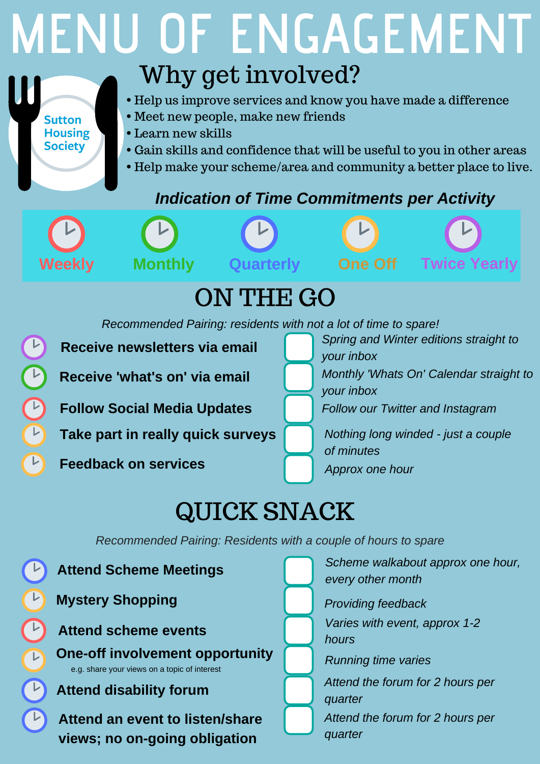## QUICK SNACK

*Recommended Pairing: residents with not a lot of time to spare!*

**Receive newsletters via email**

**Receive 'what's on' via email**

**Follow Social Media Updates**



**Take part in really quick surveys**

# **MENU OF ENGAGEMENT** Why get involved?

- Help us improve services and know you have made a difference
- Meet new people, make new friends
- Learn new skills
- Gain skills and confidence that will be useful to you in other areas
- Help make your scheme/area and community a better place to live.



**Feedback on services**

*Spring and Winter editions straight to your inbox*

*Monthly 'Whats On' Calendar straight to*



*Follow our Twitter and Instagram*



**Sutton** 

**Housing** 

**Society** 

#### *Indication of Time Commitments per Activity*



# ON THE GO

*Nothing long winded - just a couple of minutes Approx one hour*

*Recommended Pairing: Residents with a couple of hours to spare*